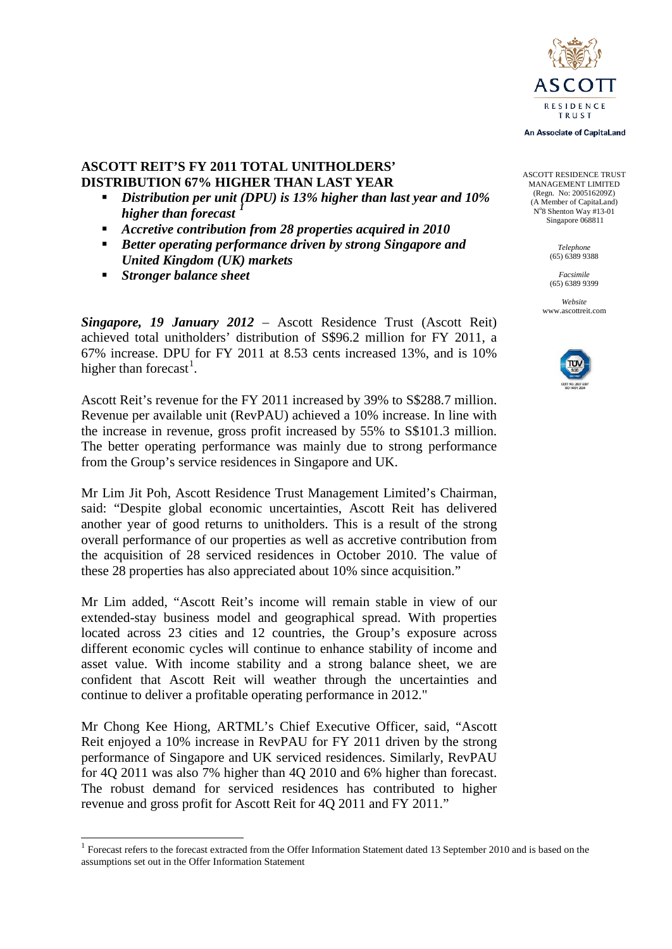

An Associate of CapitaLand

ASCOTT RESIDENCE TRUST MANAGEMENT LIMITED (Regn. No: 200516209Z) (A Member of CapitaLand) N°8 Shenton Way #13-01 Singapore 068811

> *Telephone* (65) 6389 9388

*Facsimile* (65) 6389 9399

*Website* www.ascottreit.com



### **ASCOTT REIT'S FY 2011 TOTAL UNITHOLDERS' DISTRIBUTION 67% HIGHER THAN LAST YEAR**

- *Distribution per unit (DPU) is 13% higher than last year and 10% 1higher than forecast*
- *Accretive contribution from 28 properties acquired in 2010*
- *Better operating performance driven by strong Singapore and United Kingdom (UK) markets*
- *Stronger balance sheet*

*Singapore, 19 January 2012* – Ascott Residence Trust (Ascott Reit) achieved total unitholders' distribution of S\$96.2 million for FY 2011, a 67% increase. DPU for FY 2011 at 8.53 cents increased 13%, and is 10% higher than forecast<sup>[1](#page-0-0)</sup>.

Ascott Reit's revenue for the FY 2011 increased by 39% to S\$288.7 million. Revenue per available unit (RevPAU) achieved a 10% increase. In line with the increase in revenue, gross profit increased by 55% to S\$101.3 million. The better operating performance was mainly due to strong performance from the Group's service residences in Singapore and UK.

Mr Lim Jit Poh, Ascott Residence Trust Management Limited's Chairman, said: "Despite global economic uncertainties, Ascott Reit has delivered another year of good returns to unitholders. This is a result of the strong overall performance of our properties as well as accretive contribution from the acquisition of 28 serviced residences in October 2010. The value of these 28 properties has also appreciated about 10% since acquisition."

Mr Lim added, "Ascott Reit's income will remain stable in view of our extended-stay business model and geographical spread. With properties located across 23 cities and 12 countries, the Group's exposure across different economic cycles will continue to enhance stability of income and asset value. With income stability and a strong balance sheet, we are confident that Ascott Reit will weather through the uncertainties and continue to deliver a profitable operating performance in 2012."

Mr Chong Kee Hiong, ARTML's Chief Executive Officer, said, "Ascott Reit enjoyed a 10% increase in RevPAU for FY 2011 driven by the strong performance of Singapore and UK serviced residences. Similarly, RevPAU for 4Q 2011 was also 7% higher than 4Q 2010 and 6% higher than forecast. The robust demand for serviced residences has contributed to higher revenue and gross profit for Ascott Reit for 4Q 2011 and FY 2011."

<span id="page-0-0"></span><sup>&</sup>lt;sup>1</sup> Forecast refers to the forecast extracted from the Offer Information Statement dated 13 September 2010 and is based on the assumptions set out in the Offer Information Statement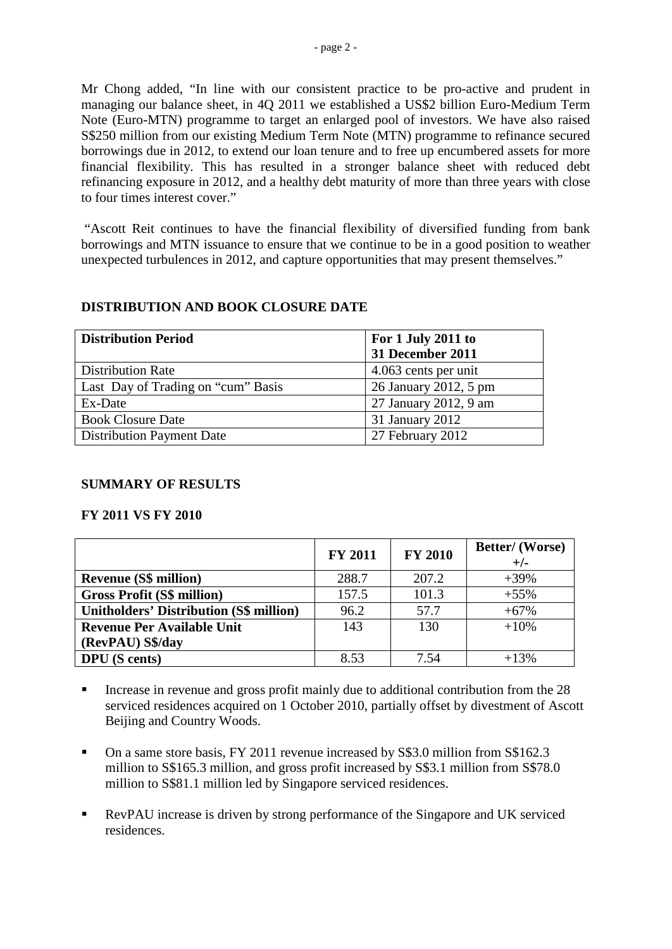Mr Chong added, "In line with our consistent practice to be pro-active and prudent in managing our balance sheet, in 4Q 2011 we established a US\$2 billion Euro-Medium Term Note (Euro-MTN) programme to target an enlarged pool of investors. We have also raised S\$250 million from our existing Medium Term Note (MTN) programme to refinance secured borrowings due in 2012, to extend our loan tenure and to free up encumbered assets for more financial flexibility. This has resulted in a stronger balance sheet with reduced debt refinancing exposure in 2012, and a healthy debt maturity of more than three years with close to four times interest cover."

"Ascott Reit continues to have the financial flexibility of diversified funding from bank borrowings and MTN issuance to ensure that we continue to be in a good position to weather unexpected turbulences in 2012, and capture opportunities that may present themselves."

### **DISTRIBUTION AND BOOK CLOSURE DATE**

| <b>Distribution Period</b>         | For 1 July 2011 to    |  |  |
|------------------------------------|-----------------------|--|--|
|                                    | 31 December 2011      |  |  |
| <b>Distribution Rate</b>           | 4.063 cents per unit  |  |  |
| Last Day of Trading on "cum" Basis | 26 January 2012, 5 pm |  |  |
| Ex-Date                            | 27 January 2012, 9 am |  |  |
| <b>Book Closure Date</b>           | 31 January 2012       |  |  |
| <b>Distribution Payment Date</b>   | 27 February 2012      |  |  |

#### **SUMMARY OF RESULTS**

#### **FY 2011 VS FY 2010**

|                                                | <b>FY 2011</b> | <b>FY 2010</b> | <b>Better/</b> (Worse)<br>$+/-$ |
|------------------------------------------------|----------------|----------------|---------------------------------|
| <b>Revenue (S\$ million)</b>                   | 288.7          | 207.2          | $+39%$                          |
| <b>Gross Profit (S\$ million)</b>              | 157.5          | 101.3          | $+55%$                          |
| <b>Unitholders' Distribution (S\$ million)</b> | 96.2           | 57.7           | $+67%$                          |
| <b>Revenue Per Available Unit</b>              | 143            | 130            | $+10%$                          |
| (RevPAU) S\$/day                               |                |                |                                 |
| <b>DPU</b> (S cents)                           | 8.53           | 7.54           | $+13%$                          |

- Increase in revenue and gross profit mainly due to additional contribution from the 28 serviced residences acquired on 1 October 2010, partially offset by divestment of Ascott Beijing and Country Woods.
- On a same store basis, FY 2011 revenue increased by S\$3.0 million from S\$162.3 million to S\$165.3 million, and gross profit increased by S\$3.1 million from S\$78.0 million to S\$81.1 million led by Singapore serviced residences.
- RevPAU increase is driven by strong performance of the Singapore and UK serviced residences.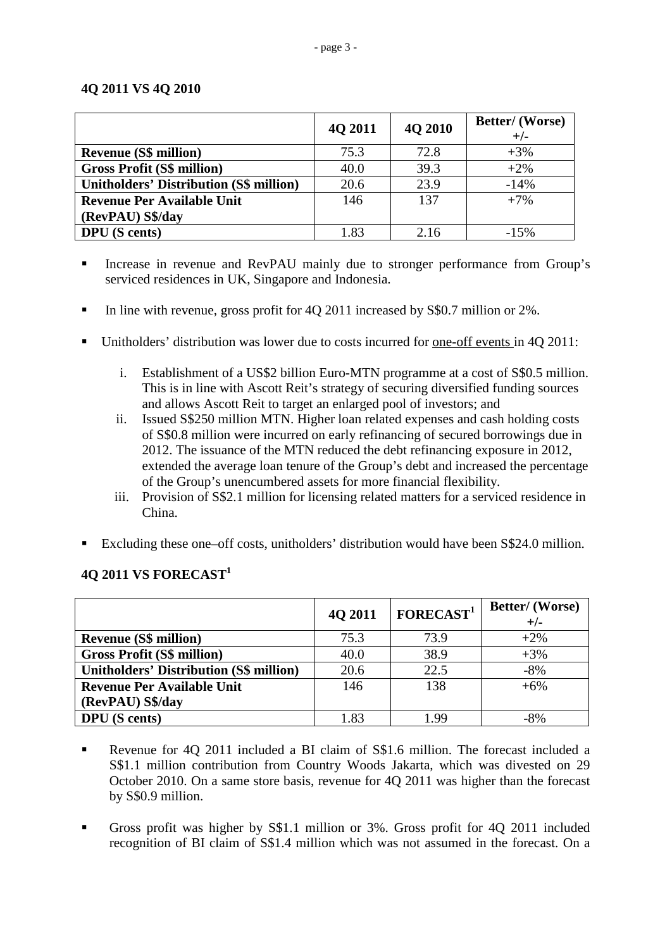### **4Q 2011 VS 4Q 2010**

|                                                | 4Q 2011 | 4Q 2010 | <b>Better/</b> (Worse)<br>$+/-$ |
|------------------------------------------------|---------|---------|---------------------------------|
| <b>Revenue (S\$ million)</b>                   | 75.3    | 72.8    | $+3%$                           |
| <b>Gross Profit (S\$ million)</b>              | 40.0    | 39.3    | $+2\%$                          |
| <b>Unitholders' Distribution (S\$ million)</b> | 20.6    | 23.9    | $-14%$                          |
| <b>Revenue Per Available Unit</b>              | 146     | 137     | $+7%$                           |
| (RevPAU) S\$/day                               |         |         |                                 |
| <b>DPU</b> (S cents)                           | 1.83    | 2.16    | $-15%$                          |

Increase in revenue and RevPAU mainly due to stronger performance from Group's serviced residences in UK, Singapore and Indonesia.

- In line with revenue, gross profit for 4Q 2011 increased by S\$0.7 million or 2%.
- Unitholders' distribution was lower due to costs incurred for one-off events in 4Q 2011:
	- i. Establishment of a US\$2 billion Euro-MTN programme at a cost of S\$0.5 million. This is in line with Ascott Reit's strategy of securing diversified funding sources and allows Ascott Reit to target an enlarged pool of investors; and
	- ii. Issued S\$250 million MTN. Higher loan related expenses and cash holding costs of S\$0.8 million were incurred on early refinancing of secured borrowings due in 2012. The issuance of the MTN reduced the debt refinancing exposure in 2012, extended the average loan tenure of the Group's debt and increased the percentage of the Group's unencumbered assets for more financial flexibility.
	- iii. Provision of S\$2.1 million for licensing related matters for a serviced residence in China.
- Excluding these one–off costs, unitholders' distribution would have been S\$24.0 million.

# **4Q 2011 VS FORECAST<sup>1</sup>**

|                                                | 4Q 2011 | FORECAST <sup>1</sup> | <b>Better/</b> (Worse)<br>$+/-$ |
|------------------------------------------------|---------|-----------------------|---------------------------------|
|                                                |         |                       |                                 |
| <b>Revenue (S\$ million)</b>                   | 75.3    | 73.9                  | $+2\%$                          |
| <b>Gross Profit (S\$ million)</b>              | 40.0    | 38.9                  | $+3%$                           |
| <b>Unitholders' Distribution (S\$ million)</b> | 20.6    | 22.5                  | $-8%$                           |
| <b>Revenue Per Available Unit</b>              | 146     | 138                   | $+6%$                           |
| (RevPAU) S\$/day                               |         |                       |                                 |
| <b>DPU</b> (S cents)                           | 1.83    | 199                   | -8%                             |

- Revenue for 4Q 2011 included a BI claim of S\$1.6 million. The forecast included a S\$1.1 million contribution from Country Woods Jakarta, which was divested on 29 October 2010. On a same store basis, revenue for 4Q 2011 was higher than the forecast by S\$0.9 million.
- Gross profit was higher by S\$1.1 million or 3%. Gross profit for 4Q 2011 included recognition of BI claim of S\$1.4 million which was not assumed in the forecast. On a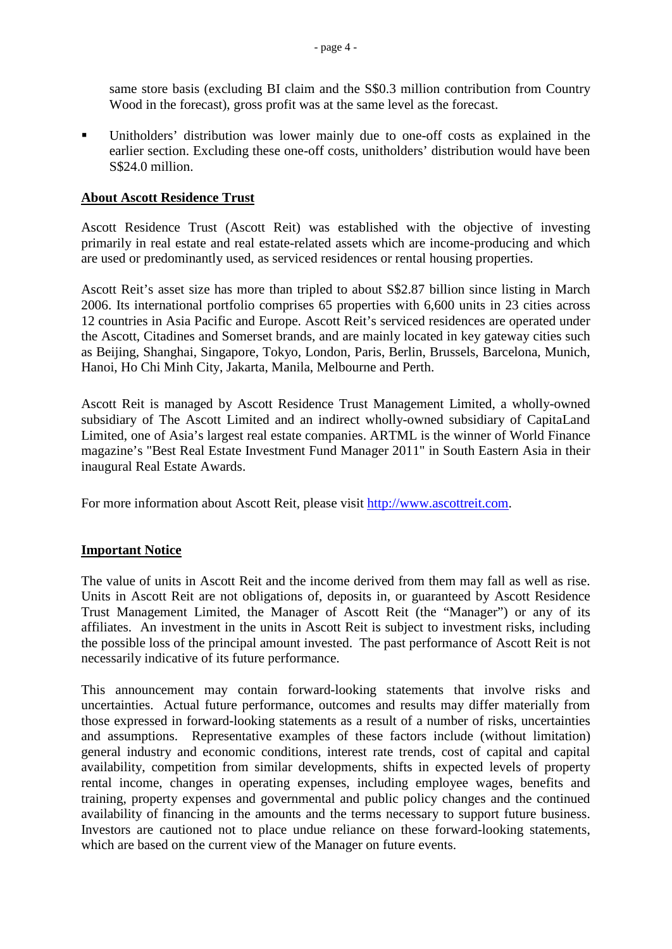same store basis (excluding BI claim and the S\$0.3 million contribution from Country Wood in the forecast), gross profit was at the same level as the forecast.

 Unitholders' distribution was lower mainly due to one-off costs as explained in the earlier section. Excluding these one-off costs, unitholders' distribution would have been S\$24.0 million.

### **About Ascott Residence Trust**

Ascott Residence Trust (Ascott Reit) was established with the objective of investing primarily in real estate and real estate-related assets which are income-producing and which are used or predominantly used, as serviced residences or rental housing properties.

Ascott Reit's asset size has more than tripled to about S\$2.87 billion since listing in March 2006. Its international portfolio comprises 65 properties with 6,600 units in 23 cities across 12 countries in Asia Pacific and Europe. Ascott Reit's serviced residences are operated under the Ascott, Citadines and Somerset brands, and are mainly located in key gateway cities such as Beijing, Shanghai, Singapore, Tokyo, London, Paris, Berlin, Brussels, Barcelona, Munich, Hanoi, Ho Chi Minh City, Jakarta, Manila, Melbourne and Perth.

Ascott Reit is managed by Ascott Residence Trust Management Limited, a wholly-owned subsidiary of The Ascott Limited and an indirect wholly-owned subsidiary of CapitaLand Limited, one of Asia's largest real estate companies. ARTML is the winner of World Finance magazine's "Best Real Estate Investment Fund Manager 2011" in South Eastern Asia in their inaugural Real Estate Awards.

For more information about Ascott Reit, please visit [http://www.ascottreit.com.](http://www.ascottreit.com/)

## **Important Notice**

The value of units in Ascott Reit and the income derived from them may fall as well as rise. Units in Ascott Reit are not obligations of, deposits in, or guaranteed by Ascott Residence Trust Management Limited, the Manager of Ascott Reit (the "Manager") or any of its affiliates. An investment in the units in Ascott Reit is subject to investment risks, including the possible loss of the principal amount invested. The past performance of Ascott Reit is not necessarily indicative of its future performance.

This announcement may contain forward-looking statements that involve risks and uncertainties. Actual future performance, outcomes and results may differ materially from those expressed in forward-looking statements as a result of a number of risks, uncertainties and assumptions. Representative examples of these factors include (without limitation) general industry and economic conditions, interest rate trends, cost of capital and capital availability, competition from similar developments, shifts in expected levels of property rental income, changes in operating expenses, including employee wages, benefits and training, property expenses and governmental and public policy changes and the continued availability of financing in the amounts and the terms necessary to support future business. Investors are cautioned not to place undue reliance on these forward-looking statements, which are based on the current view of the Manager on future events.